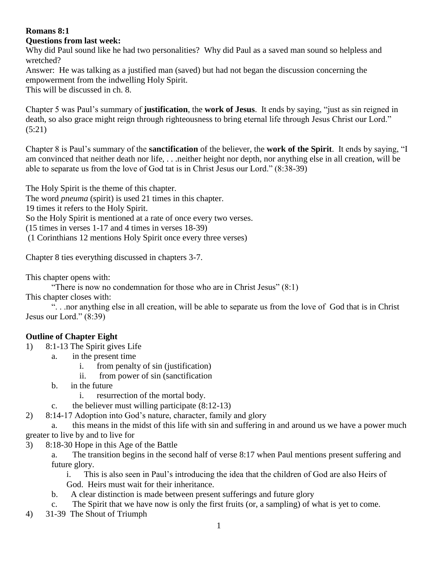#### **Romans 8:1**

#### **Questions from last week:**

Why did Paul sound like he had two personalities? Why did Paul as a saved man sound so helpless and wretched?

Answer: He was talking as a justified man (saved) but had not began the discussion concerning the empowerment from the indwelling Holy Spirit. This will be discussed in ch. 8.

Chapter 5 was Paul's summary of **justification**, the **work of Jesus**. It ends by saying, "just as sin reigned in death, so also grace might reign through righteousness to bring eternal life through Jesus Christ our Lord." (5:21)

Chapter 8 is Paul's summary of the **sanctification** of the believer, the **work of the Spirit**. It ends by saying, "I am convinced that neither death nor life, . . .neither height nor depth, nor anything else in all creation, will be able to separate us from the love of God tat is in Christ Jesus our Lord." (8:38-39)

The Holy Spirit is the theme of this chapter.

The word *pneuma* (spirit) is used 21 times in this chapter.

19 times it refers to the Holy Spirit.

So the Holy Spirit is mentioned at a rate of once every two verses.

(15 times in verses 1-17 and 4 times in verses 18-39)

(1 Corinthians 12 mentions Holy Spirit once every three verses)

Chapter 8 ties everything discussed in chapters 3-7.

This chapter opens with:

"There is now no condemnation for those who are in Christ Jesus"  $(8:1)$ 

This chapter closes with:

 ". . .nor anything else in all creation, will be able to separate us from the love of God that is in Christ Jesus our Lord." (8:39)

## **Outline of Chapter Eight**

- 1) 8:1-13 The Spirit gives Life
	- a. in the present time
		- i. from penalty of sin (justification)
		- ii. from power of sin (sanctification
	- b. in the future
		- i. resurrection of the mortal body.
	- c. the believer must willing participate (8:12-13)
- 2) 8:14-17 Adoption into God's nature, character, family and glory

a. this means in the midst of this life with sin and suffering in and around us we have a power much greater to live by and to live for

- 3) 8:18-30 Hope in this Age of the Battle
	- a. The transition begins in the second half of verse 8:17 when Paul mentions present suffering and future glory.

i. This is also seen in Paul's introducing the idea that the children of God are also Heirs of God. Heirs must wait for their inheritance.

- b. A clear distinction is made between present sufferings and future glory
- c. The Spirit that we have now is only the first fruits (or, a sampling) of what is yet to come.
- 4) 31-39 The Shout of Triumph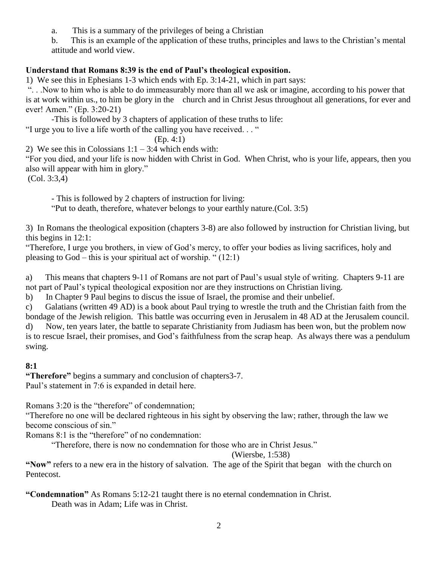a. This is a summary of the privileges of being a Christian

b. This is an example of the application of these truths, principles and laws to the Christian's mental attitude and world view.

#### **Understand that Romans 8:39 is the end of Paul's theological exposition.**

1) We see this in Ephesians 1-3 which ends with Ep. 3:14-21, which in part says:

". . .Now to him who is able to do immeasurably more than all we ask or imagine, according to his power that is at work within us., to him be glory in the church and in Christ Jesus throughout all generations, for ever and ever! Amen." (Ep. 3:20-21)

-This is followed by 3 chapters of application of these truths to life:

"I urge you to live a life worth of the calling you have received. . . "

(Ep. 4:1)

2) We see this in Colossians  $1:1 - 3:4$  which ends with:

"For you died, and your life is now hidden with Christ in God. When Christ, who is your life, appears, then you also will appear with him in glory."

(Col. 3:3,4)

- This is followed by 2 chapters of instruction for living:

"Put to death, therefore, whatever belongs to your earthly nature.(Col. 3:5)

3) In Romans the theological exposition (chapters 3-8) are also followed by instruction for Christian living, but this begins in 12:1:

"Therefore, I urge you brothers, in view of God's mercy, to offer your bodies as living sacrifices, holy and pleasing to God – this is your spiritual act of worship. " $(12:1)$ 

a) This means that chapters 9-11 of Romans are not part of Paul's usual style of writing. Chapters 9-11 are not part of Paul's typical theological exposition nor are they instructions on Christian living.

b) In Chapter 9 Paul begins to discus the issue of Israel, the promise and their unbelief.

c) Galatians (written 49 AD) is a book about Paul trying to wrestle the truth and the Christian faith from the bondage of the Jewish religion. This battle was occurring even in Jerusalem in 48 AD at the Jerusalem council. d) Now, ten years later, the battle to separate Christianity from Judiasm has been won, but the problem now is to rescue Israel, their promises, and God's faithfulness from the scrap heap. As always there was a pendulum swing.

#### **8:1**

**"Therefore"** begins a summary and conclusion of chapters3-7. Paul's statement in 7:6 is expanded in detail here.

Romans 3:20 is the "therefore" of condemnation;

"Therefore no one will be declared righteous in his sight by observing the law; rather, through the law we become conscious of sin."

Romans 8:1 is the "therefore" of no condemnation:

"Therefore, there is now no condemnation for those who are in Christ Jesus."

(Wiersbe, 1:538)

**"Now"** refers to a new era in the history of salvation. The age of the Spirit that began with the church on Pentecost.

**"Condemnation"** As Romans 5:12-21 taught there is no eternal condemnation in Christ.

Death was in Adam; Life was in Christ.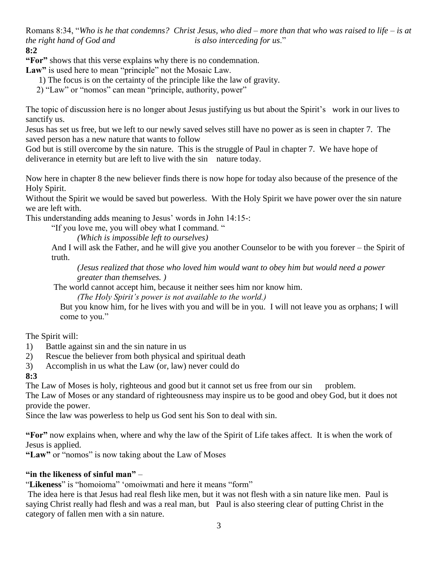Romans 8:34, "*Who is he that condemns? Christ Jesus, who died – more than that who was raised to life – is at the right hand of God and is also interceding for us.*"

**8:2**

**"For"** shows that this verse explains why there is no condemnation.

**Law"** is used here to mean "principle" not the Mosaic Law.

1) The focus is on the certainty of the principle like the law of gravity.

2) "Law" or "nomos" can mean "principle, authority, power"

The topic of discussion here is no longer about Jesus justifying us but about the Spirit's work in our lives to sanctify us.

Jesus has set us free, but we left to our newly saved selves still have no power as is seen in chapter 7. The saved person has a new nature that wants to follow

God but is still overcome by the sin nature. This is the struggle of Paul in chapter 7. We have hope of deliverance in eternity but are left to live with the sin nature today.

Now here in chapter 8 the new believer finds there is now hope for today also because of the presence of the Holy Spirit.

Without the Spirit we would be saved but powerless. With the Holy Spirit we have power over the sin nature we are left with.

This understanding adds meaning to Jesus' words in John 14:15-:

"If you love me, you will obey what I command. "

*(Which is impossible left to ourselves)*

And I will ask the Father, and he will give you another Counselor to be with you forever – the Spirit of truth.

*(Jesus realized that those who loved him would want to obey him but would need a power greater than themselves. )*

The world cannot accept him, because it neither sees him nor know him.

*(The Holy Spirit's power is not available to the world.)*

But you know him, for he lives with you and will be in you. I will not leave you as orphans; I will come to you."

The Spirit will:

- 1) Battle against sin and the sin nature in us
- 2) Rescue the believer from both physical and spiritual death
- 3) Accomplish in us what the Law (or, law) never could do

**8:3**

The Law of Moses is holy, righteous and good but it cannot set us free from our sin problem.

The Law of Moses or any standard of righteousness may inspire us to be good and obey God, but it does not provide the power.

Since the law was powerless to help us God sent his Son to deal with sin.

**"For"** now explains when, where and why the law of the Spirit of Life takes affect. It is when the work of Jesus is applied.

**"Law"** or "nomos" is now taking about the Law of Moses

#### **"in the likeness of sinful man"** –

"**Likeness**" is "homoioma" 'omoiwmati and here it means "form"

The idea here is that Jesus had real flesh like men, but it was not flesh with a sin nature like men. Paul is saying Christ really had flesh and was a real man, but Paul is also steering clear of putting Christ in the category of fallen men with a sin nature.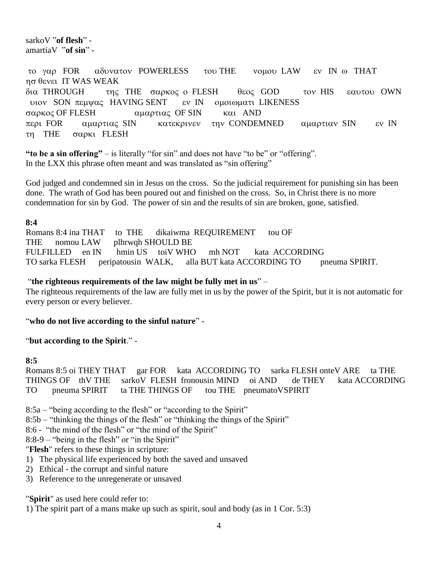sarkoV "of flesh" amartiaV "of sin" -

αδυνατον POWERLESS  $τ$ ου THE εν IN ω THAT το γαρ FOR νομου LAW ησθενει IT WAS WEAK θεος GOD δια THROUGH της THE σαρκος ο FLESH  $τον$  HIS εαυτου OWN υιον SON πεμψας HAVING SENT  $\epsilon v$  IN ομοιωματι LIKENESS και AND σαρκος OF FLESH αμαρτιας OF SIN  $\pi$ *ερι* FOR αμαρτιας SIN κατεκρινεν την CONDEMNED αμαρτιαν SIN  $\mathbf{F}$  IN  $\tau$ n THE σαρκι FLESH

"to be a sin offering" – is literally "for sin" and does not have "to be" or "offering". In the LXX this phrase often meant and was translated as "sin offering"

God judged and condemned sin in Jesus on the cross. So the judicial requirement for punishing sin has been done. The wrath of God has been poured out and finished on the cross. So, in Christ there is no more condemnation for sin by God. The power of sin and the results of sin are broken, gone, satisfied.

#### $8:4$

Romans 8:4 ina THAT to THE dikaiwma REQUIREMENT tou OF **THE** nomou LAW plhrwqh SHOULD BE FULFILLED en IN hmin US toiV WHO mh NOT kata ACCORDING **TO sarka FLESH** peripatousin WALK, alla BUT kata ACCORDING TO pneuma SPIRIT.

#### "the righteous requirements of the law might be fully met in us" -

The righteous requirements of the law are fully met in us by the power of the Spirit, but it is not automatic for every person or every believer.

#### "who do not live according to the sinful nature" -

#### "but according to the Spirit." -

#### $8:5$

Romans 8:5 oi THEY THAT gar FOR kata ACCORDING TO sarka FLESH onteV ARE ta THE oi AND THINGS OF thV THE sarkoV FLESH fronousin MIND de THEY kata ACCORDING ta THE THINGS OF **TO** pneuma SPIRIT tou THE pneumatoVSPIRIT

 $8:5a$  – "being according to the flesh" or "according to the Spirit"

8:5b – "thinking the things of the flesh" or "thinking the things of the Spirit"

8:6 - "the mind of the flesh" or "the mind of the Spirit"

8:8-9 – "being in the flesh" or "in the Spirit"

"Flesh" refers to these things in scripture:

- 1) The physical life experienced by both the saved and unsaved
- 2) Ethical the corrupt and sinful nature
- 3) Reference to the unregenerate or unsaved

"Spirit" as used here could refer to:

1) The spirit part of a mans make up such as spirit, soul and body (as in 1 Cor. 5:3)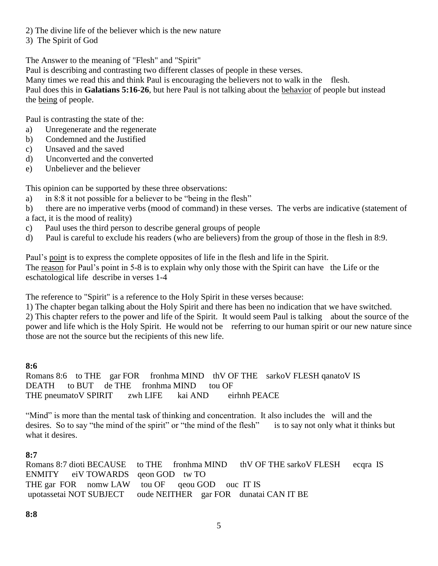- 2) The divine life of the believer which is the new nature
- 3) The Spirit of God

The Answer to the meaning of "Flesh" and "Spirit"

Paul is describing and contrasting two different classes of people in these verses.

Many times we read this and think Paul is encouraging the believers not to walk in the flesh.

Paul does this in **Galatians 5:16-26**, but here Paul is not talking about the behavior of people but instead the being of people.

Paul is contrasting the state of the:

- a) Unregenerate and the regenerate
- b) Condemned and the Justified
- c) Unsaved and the saved
- d) Unconverted and the converted
- e) Unbeliever and the believer

This opinion can be supported by these three observations:

a) in 8:8 it not possible for a believer to be "being in the flesh"

b) there are no imperative verbs (mood of command) in these verses. The verbs are indicative (statement of a fact, it is the mood of reality)

- c) Paul uses the third person to describe general groups of people
- d) Paul is careful to exclude his readers (who are believers) from the group of those in the flesh in 8:9.

Paul's point is to express the complete opposites of life in the flesh and life in the Spirit. The reason for Paul's point in 5-8 is to explain why only those with the Spirit can have the Life or the eschatological life describe in verses 1-4

The reference to "Spirit" is a reference to the Holy Spirit in these verses because:

1) The chapter began talking about the Holy Spirit and there has been no indication that we have switched. 2) This chapter refers to the power and life of the Spirit. It would seem Paul is talking about the source of the power and life which is the Holy Spirit. He would not be referring to our human spirit or our new nature since those are not the source but the recipients of this new life.

#### **8:6**

Romans 8:6 to THE gar FOR fronhma MIND thV OF THE sarkoV FLESH qanatoV IS DEATH to BUT de THE fronhma MIND tou OF THE pneumatoV SPIRIT zwh LIFE kai AND eirhnh PEACE

"Mind" is more than the mental task of thinking and concentration. It also includes the will and the desires. So to say "the mind of the spirit" or "the mind of the flesh" is to say not only what it thinks but what it desires.

#### **8:7**

Romans 8:7 dioti BECAUSE to THE fronhma MIND thV OF THE sarkoV FLESH ecqra IS ENMITY eiV TOWARDS qeon GOD tw TO THE gar FOR nomw LAW tou OF qeou GOD ouc IT IS upotassetai NOT SUBJECT oude NEITHER gar FOR dunatai CAN IT BE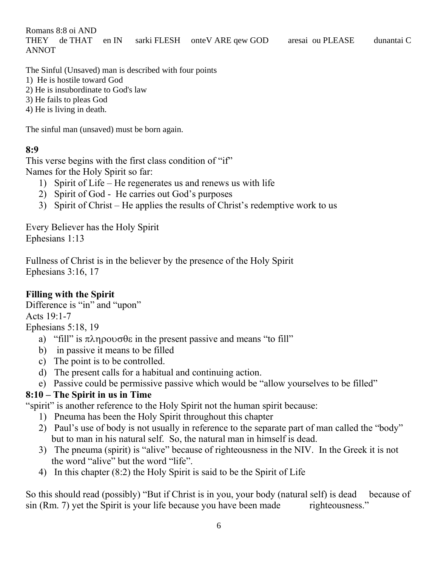Romans 8:8 oi AND THEY de THAT en IN sarki FLESH onteV ARE qew GOD aresai ou PLEASE **ANNOT** 

dunantai C

The Sinful (Unsaved) man is described with four points

1) He is hostile toward God

2) He is insubordinate to God's law

3) He fails to pleas God

4) He is living in death.

The sinful man (unsaved) must be born again.

# $8:9$

This verse begins with the first class condition of "if" Names for the Holy Spirit so far:

- 1) Spirit of Life He regenerates us and renews us with life
- 2) Spirit of God He carries out God's purposes
- 3) Spirit of Christ He applies the results of Christ's redemptive work to us

Every Believer has the Holy Spirit Ephesians 1:13

Fullness of Christ is in the believer by the presence of the Holy Spirit Ephesians  $3:16$ , 17

# **Filling with the Spirit**

Difference is "in" and "upon" Acts 19:1-7 Ephesians  $5:18$ , 19 a) "fill" is  $\pi \lambda \eta \rho \circ \sigma \theta \varepsilon$  in the present passive and means "to fill"

- b) in passive it means to be filled
- c) The point is to be controlled.
- d) The present calls for a habitual and continuing action.
- e) Passive could be permissive passive which would be "allow yourselves to be filled"

# 8:10 – The Spirit in us in Time

"spirit" is another reference to the Holy Spirit not the human spirit because:

- 1) Pneuma has been the Holy Spirit throughout this chapter
- 2) Paul's use of body is not usually in reference to the separate part of man called the "body" but to man in his natural self. So, the natural man in himself is dead.
- 3) The pneuma (spirit) is "alive" because of righteousness in the NIV. In the Greek it is not the word "alive" but the word "life".
- 4) In this chapter (8:2) the Holy Spirit is said to be the Spirit of Life

So this should read (possibly) "But if Christ is in you, your body (natural self) is dead because of sin (Rm. 7) yet the Spirit is your life because you have been made righteousness."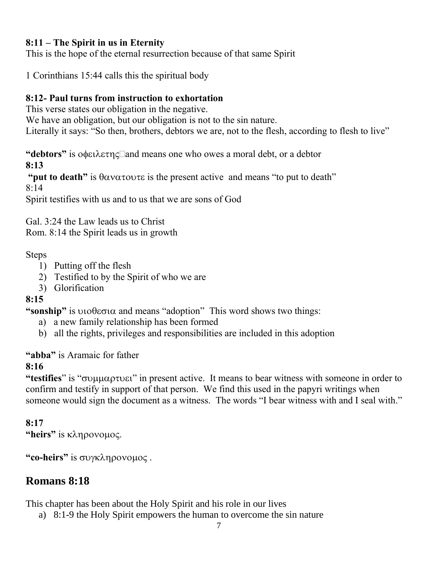# **8:11 – The Spirit in us in Eternity**

This is the hope of the eternal resurrection because of that same Spirit

1 Corinthians 15:44 calls this the spiritual body

# **8:12- Paul turns from instruction to exhortation**

This verse states our obligation in the negative. We have an obligation, but our obligation is not to the sin nature. Literally it says: "So then, brothers, debtors we are, not to the flesh, according to flesh to live"

**"debtors"** is οφειλετης and means one who owes a moral debt, or a debtor **8:13**

"**put to death**" is  $\theta \alpha \nu \alpha \tau \nu \tau \varepsilon$  is the present active and means "to put to death" 8:14

Spirit testifies with us and to us that we are sons of God

Gal. 3:24 the Law leads us to Christ Rom. 8:14 the Spirit leads us in growth

# Steps

- 1) Putting off the flesh
- 2) Testified to by the Spirit of who we are
- 3) Glorification

# **8:15**

"sonship" is  $\upsilon$  is  $\upsilon$  and means "adoption" This word shows two things:

- a) a new family relationship has been formed
- b) all the rights, privileges and responsibilities are included in this adoption

**"abba"** is Aramaic for father

# **8:16**

**"testifies**" is "συμμαρτυει" in present active. It means to bear witness with someone in order to confirm and testify in support of that person. We find this used in the papyri writings when someone would sign the document as a witness. The words "I bear witness with and I seal with."

# **8:17**

**"heirs"** is κληρονομος.

**"co-heirs"** is συγκληρονομος.

# **Romans 8:18**

This chapter has been about the Holy Spirit and his role in our lives

a) 8:1-9 the Holy Spirit empowers the human to overcome the sin nature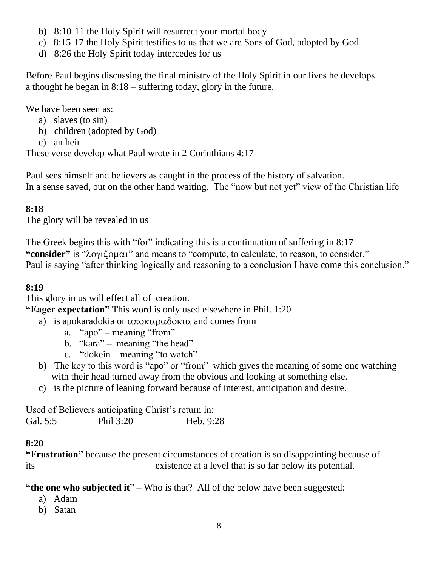- b) 8:10-11 the Holy Spirit will resurrect your mortal body
- c) 8:15-17 the Holy Spirit testifies to us that we are Sons of God, adopted by God
- d) 8:26 the Holy Spirit today intercedes for us

Before Paul begins discussing the final ministry of the Holy Spirit in our lives he develops a thought he began in 8:18 – suffering today, glory in the future.

We have been seen as:

- a) slaves (to sin)
- b) children (adopted by God)
- c) an heir

These verse develop what Paul wrote in 2 Corinthians 4:17

Paul sees himself and believers as caught in the process of the history of salvation. In a sense saved, but on the other hand waiting. The "now but not yet" view of the Christian life

# **8:18**

The glory will be revealed in us

The Greek begins this with "for" indicating this is a continuation of suffering in 8:17 **"consider"** is "λογιζομαι" and means to "compute, to calculate, to reason, to consider." Paul is saying "after thinking logically and reasoning to a conclusion I have come this conclusion."

## **8:19**

This glory in us will effect all of creation.

**"Eager expectation"** This word is only used elsewhere in Phil. 1:20

- a) is apokaradokia or  $\alpha \pi$ ok $\alpha \beta$ oki $\alpha$  and comes from
	- a. "apo" meaning "from"
	- b. "kara" meaning "the head"
	- c. "dokein meaning "to watch"
- b) The key to this word is "apo" or "from" which gives the meaning of some one watching with their head turned away from the obvious and looking at something else.
- c) is the picture of leaning forward because of interest, anticipation and desire.

Used of Believers anticipating Christ's return in: Gal. 5:5 Phil 3:20 Heb. 9:28

# **8:20**

**"Frustration"** because the present circumstances of creation is so disappointing because of its existence at a level that is so far below its potential.

**"the one who subjected it**" – Who is that? All of the below have been suggested:

- a) Adam
- b) Satan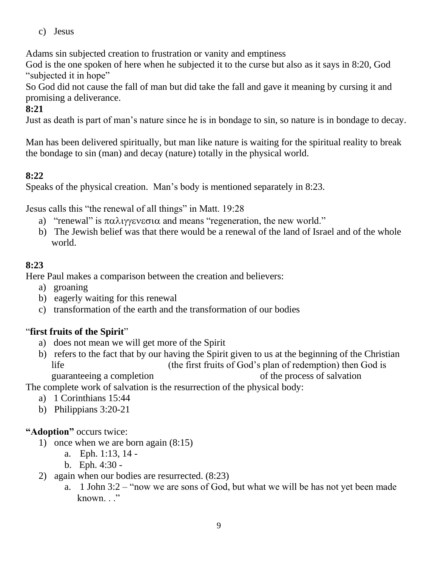c) Jesus

Adams sin subjected creation to frustration or vanity and emptiness

God is the one spoken of here when he subjected it to the curse but also as it says in 8:20, God "subjected it in hope"

So God did not cause the fall of man but did take the fall and gave it meaning by cursing it and promising a deliverance.

## **8:21**

Just as death is part of man's nature since he is in bondage to sin, so nature is in bondage to decay.

Man has been delivered spiritually, but man like nature is waiting for the spiritual reality to break the bondage to sin (man) and decay (nature) totally in the physical world.

## **8:22**

Speaks of the physical creation. Man's body is mentioned separately in 8:23.

Jesus calls this "the renewal of all things" in Matt. 19:28

- a) "renewal" is  $\pi \alpha \lambda \gamma$  evertor and means "regeneration, the new world."
- b) The Jewish belief was that there would be a renewal of the land of Israel and of the whole world.

# **8:23**

Here Paul makes a comparison between the creation and believers:

- a) groaning
- b) eagerly waiting for this renewal
- c) transformation of the earth and the transformation of our bodies

# "**first fruits of the Spirit**"

- a) does not mean we will get more of the Spirit
- b) refers to the fact that by our having the Spirit given to us at the beginning of the Christian life (the first fruits of God's plan of redemption) then God is guaranteeing a completion of the process of salvation

The complete work of salvation is the resurrection of the physical body:

- a) 1 Corinthians 15:44
- b) Philippians 3:20-21

# **"Adoption"** occurs twice:

- 1) once when we are born again (8:15)
	- a. Eph. 1:13, 14 -
	- b. Eph. 4:30 -
- 2) again when our bodies are resurrected. (8:23)
	- a. 1 John 3:2 "now we are sons of God, but what we will be has not yet been made known..."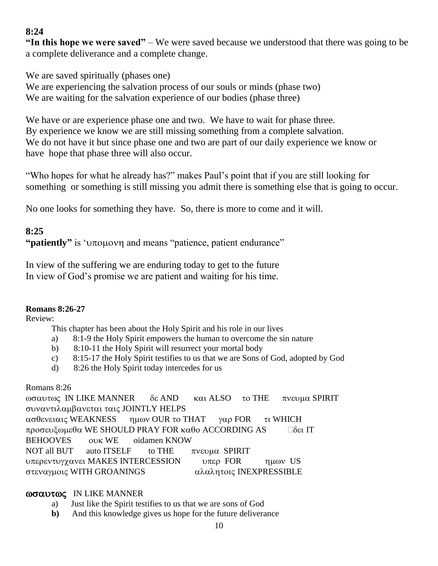# **8:24**

**"In this hope we were saved"** – We were saved because we understood that there was going to be a complete deliverance and a complete change.

We are saved spiritually (phases one)

We are experiencing the salvation process of our souls or minds (phase two) We are waiting for the salvation experience of our bodies (phase three)

We have or are experience phase one and two. We have to wait for phase three. By experience we know we are still missing something from a complete salvation. We do not have it but since phase one and two are part of our daily experience we know or have hope that phase three will also occur.

"Who hopes for what he already has?" makes Paul's point that if you are still looking for something or something is still missing you admit there is something else that is going to occur.

No one looks for something they have. So, there is more to come and it will.

# **8:25**

**"patiently"** is 'υπομονη and means "patience, patient endurance"

In view of the suffering we are enduring today to get to the future In view of God's promise we are patient and waiting for his time.

#### **Romans 8:26-27**

Review:

This chapter has been about the Holy Spirit and his role in our lives

- a) 8:1-9 the Holy Spirit empowers the human to overcome the sin nature
- b) 8:10-11 the Holy Spirit will resurrect your mortal body
- c) 8:15-17 the Holy Spirit testifies to us that we are Sons of God, adopted by God
- d) 8:26 the Holy Spirit today intercedes for us

## Romans 8:26

 $π$   $ω$   $σαυτω$   $ε$ IN LIKE MANNER  $δε$ AND  $κα$   $λ$ ALSO το THE  $π$ νευμα SPIRIT συναντιλαμβανεται ταις JOINTLY HELPS  $\alpha$ σθενειαις WEAKNESS ημων OUR το THAT γαρ FOR τι WHICH προσευξωμεθα WE SHOULD PRAY FOR καθο ACCORDING AS  $\Box$ δει IT BEHOOVES OUK WE oidamen KNOW NOT all BUT auto ITSELF to THE  $\pi$ v $\epsilon$ v $\mu$ a SPIRIT υπερεντυγγανει MAKES INTERCESSION  $\psi$ περεντυγγανει MAKES INTERCESSION  $\psi$ περ FOR ημων US στεναγμοις WITH GROANINGS **αλαλητοις INEXPRESSIBLE** 

#### ωσαυτως IN LIKE MANNER

- a) Just like the Spirit testifies to us that we are sons of God
- **b)** And this knowledge gives us hope for the future deliverance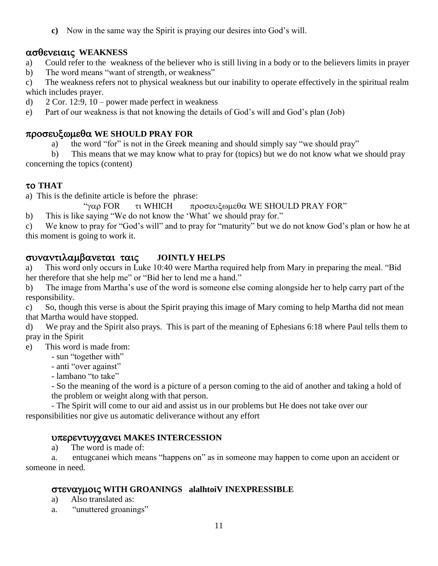**c)** Now in the same way the Spirit is praying our desires into God's will.

## **WEAKNESS**

a) Could refer to the weakness of the believer who is still living in a body or to the believers limits in prayer

b) The word means "want of strength, or weakness"

c) The weakness refers not to physical weakness but our inability to operate effectively in the spiritual realm which includes prayer.

- d)  $2$  Cor. 12:9, 10 power made perfect in weakness
- e) Part of our weakness is that not knowing the details of God's will and God's plan (Job)

## προσευξωμεθα WE SHOULD PRAY FOR

a) the word "for" is not in the Greek meaning and should simply say "we should pray"

b) This means that we may know what to pray for (topics) but we do not know what we should pray concerning the topics (content)

## **THAT**

a) This is the definite article is before the phrase:

"γαρ FOR τι WHICH προσευξωμεθα WE SHOULD PRAY FOR"

b) This is like saying "We do not know the 'What' we should pray for."

c) We know to pray for "God's will" and to pray for "maturity" but we do not know God's plan or how he at this moment is going to work it.

## **JOINTLY HELPS**

a) This word only occurs in Luke 10:40 were Martha required help from Mary in preparing the meal. "Bid her therefore that she help me" or "Bid her to lend me a hand."

b) The image from Martha's use of the word is someone else coming alongside her to help carry part of the responsibility.

c) So, though this verse is about the Spirit praying this image of Mary coming to help Martha did not mean that Martha would have stopped.

d) We pray and the Spirit also prays. This is part of the meaning of Ephesians 6:18 where Paul tells them to pray in the Spirit

- e) This word is made from:
	- sun "together with"
	- anti "over against"
	- lambano "to take"

- So the meaning of the word is a picture of a person coming to the aid of another and taking a hold of the problem or weight along with that person.

- The Spirit will come to our aid and assist us in our problems but He does not take over our responsibilities nor give us automatic deliverance without any effort

#### **υπερεντυγχανει MAKES INTERCESSION**

a) The word is made of:

a. entugcanei which means "happens on" as in someone may happen to come upon an accident or someone in need.

#### **WITH GROANINGS alalhtoiV INEXPRESSIBLE**

- a) Also translated as:
- a. "unuttered groanings"